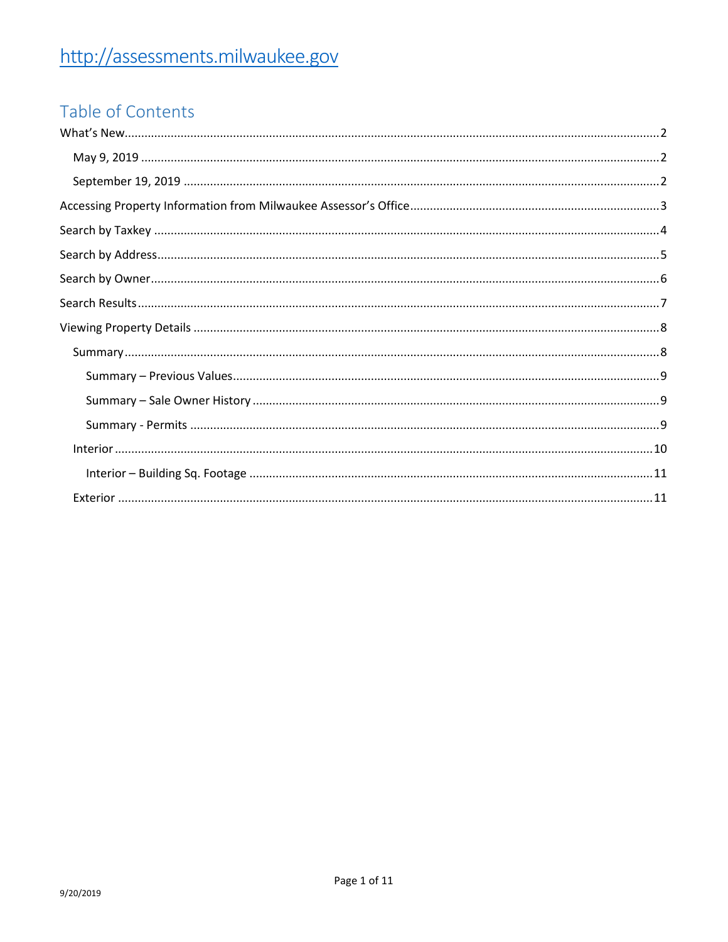## Table of Contents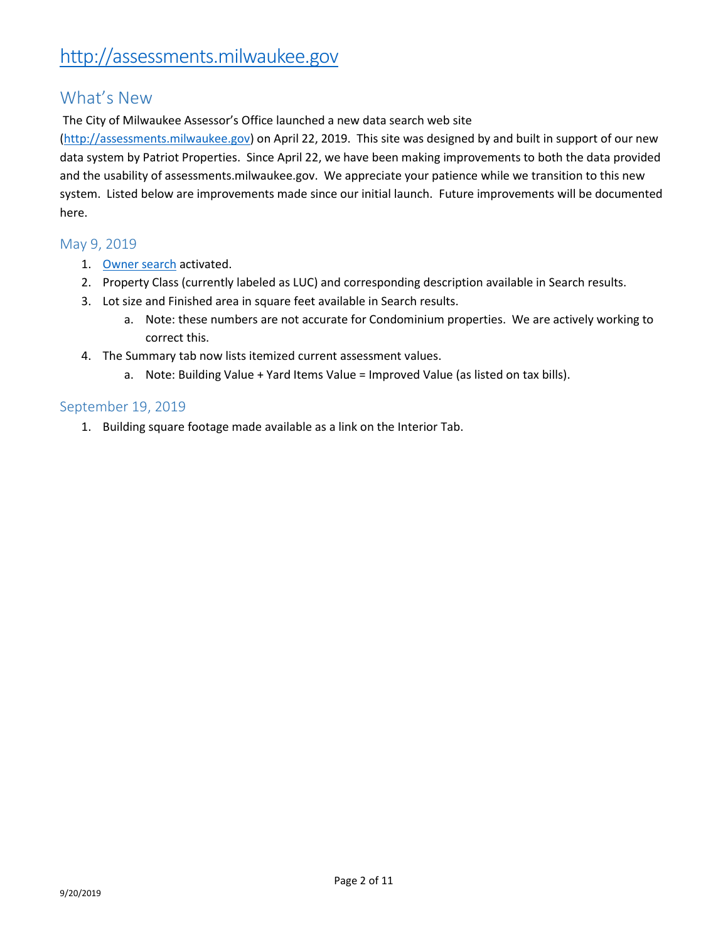### <span id="page-1-0"></span>What's New

The City of Milwaukee Assessor's Office launched a new data search web site

[\(http://assessments.milwaukee.gov\)](http://assessments.milwaukee.gov/) on April 22, 2019. This site was designed by and built in support of our new data system by Patriot Properties. Since April 22, we have been making improvements to both the data provided and the usability of assessments.milwaukee.gov. We appreciate your patience while we transition to this new system. Listed below are improvements made since our initial launch. Future improvements will be documented here.

### <span id="page-1-1"></span>May 9, 2019

- 1. [Owner search](#page-4-1) activated.
- 2. Property Class (currently labeled as LUC) and corresponding description available in Search results.
- 3. Lot size and Finished area in square feet available in Search results.
	- a. Note: these numbers are not accurate for Condominium properties. We are actively working to correct this.
- 4. The Summary tab now lists itemized current assessment values.
	- a. Note: Building Value + Yard Items Value = Improved Value (as listed on tax bills).

### <span id="page-1-2"></span>September 19, 2019

1. Building square footage made available as a link on the Interior Tab.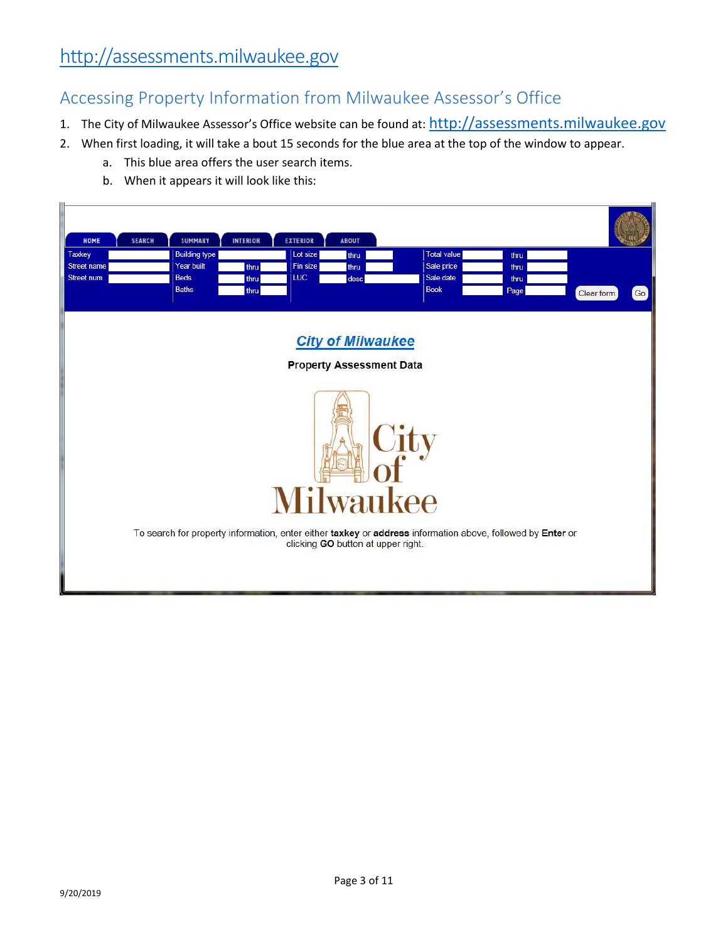### <span id="page-2-0"></span>Accessing Property Information from Milwaukee Assessor's Office

- 1. The City of Milwaukee Assessor's Office website can be found at: [http://assessments.milwaukee.gov](http://assessments.milwaukee.gov/)
- 2. When first loading, it will take a bout 15 seconds for the blue area at the top of the window to appear.
	- a. This blue area offers the user search items.
	- b. When it appears it will look like this:

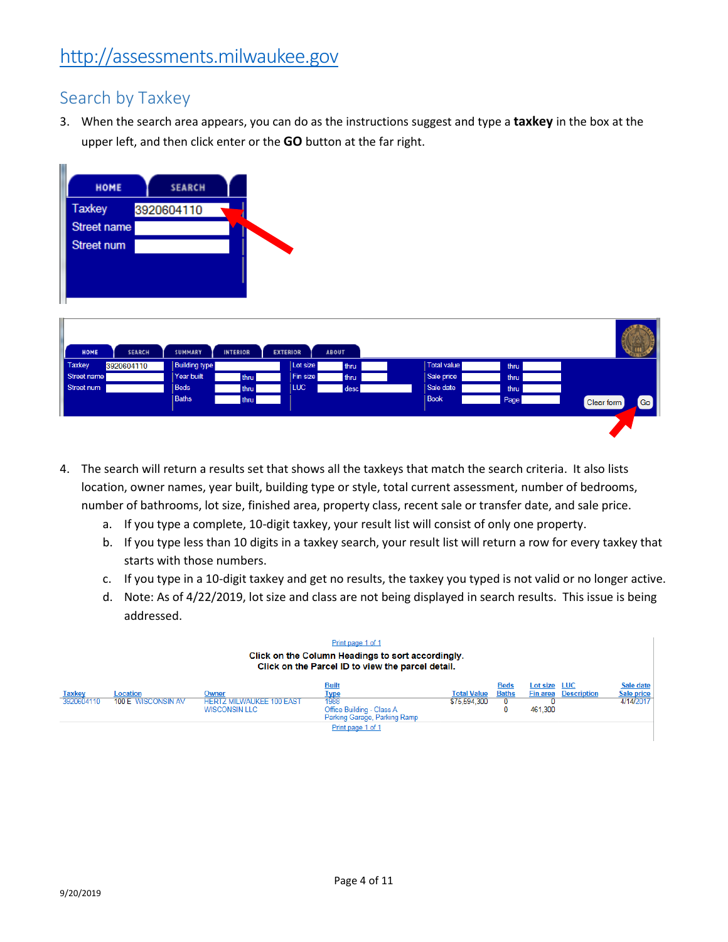### <span id="page-3-0"></span>Search by Taxkey

Ш

3. When the search area appears, you can do as the instructions suggest and type a **taxkey** in the box at the upper left, and then click enter or the **GO** button at the far right.

| <b>Taxkey</b><br>3920604110<br>Street name<br>Street num<br><b>SEARCH</b><br><b>INTERIOR</b><br><b>EXTERIOR</b><br><b>ABOUT</b><br>HOME<br><b>SUMMARY</b><br><b>Total value</b><br>Taxkey<br>3920604110<br><b>Building type</b><br>Lot size<br>thru<br>thru<br>Street name<br>Year built<br>Fin size<br>Sale price<br>thru<br>thru<br>thru<br>Street num<br>LUC-<br>Sale date<br><b>Beds</b><br>desc<br>thru<br>thru<br><b>Baths</b><br><b>Book</b><br>thru<br>Page<br>Go<br>Clear form | ŀ<br>HOME | <b>SEARCH</b> |  |  |
|-----------------------------------------------------------------------------------------------------------------------------------------------------------------------------------------------------------------------------------------------------------------------------------------------------------------------------------------------------------------------------------------------------------------------------------------------------------------------------------------|-----------|---------------|--|--|
|                                                                                                                                                                                                                                                                                                                                                                                                                                                                                         |           |               |  |  |
|                                                                                                                                                                                                                                                                                                                                                                                                                                                                                         |           |               |  |  |
|                                                                                                                                                                                                                                                                                                                                                                                                                                                                                         |           |               |  |  |
|                                                                                                                                                                                                                                                                                                                                                                                                                                                                                         |           |               |  |  |
|                                                                                                                                                                                                                                                                                                                                                                                                                                                                                         |           |               |  |  |
|                                                                                                                                                                                                                                                                                                                                                                                                                                                                                         |           |               |  |  |
|                                                                                                                                                                                                                                                                                                                                                                                                                                                                                         |           |               |  |  |
|                                                                                                                                                                                                                                                                                                                                                                                                                                                                                         |           |               |  |  |
|                                                                                                                                                                                                                                                                                                                                                                                                                                                                                         |           |               |  |  |
|                                                                                                                                                                                                                                                                                                                                                                                                                                                                                         |           |               |  |  |
|                                                                                                                                                                                                                                                                                                                                                                                                                                                                                         |           |               |  |  |
|                                                                                                                                                                                                                                                                                                                                                                                                                                                                                         |           |               |  |  |
|                                                                                                                                                                                                                                                                                                                                                                                                                                                                                         |           |               |  |  |
|                                                                                                                                                                                                                                                                                                                                                                                                                                                                                         |           |               |  |  |

- 4. The search will return a results set that shows all the taxkeys that match the search criteria. It also lists location, owner names, year built, building type or style, total current assessment, number of bedrooms, number of bathrooms, lot size, finished area, property class, recent sale or transfer date, and sale price.
	- a. If you type a complete, 10-digit taxkey, your result list will consist of only one property.
	- b. If you type less than 10 digits in a taxkey search, your result list will return a row for every taxkey that starts with those numbers.
	- c. If you type in a 10-digit taxkey and get no results, the taxkey you typed is not valid or no longer active.
	- d. Note: As of 4/22/2019, lot size and class are not being displayed in search results. This issue is being addressed.

| Print page 1 of 1<br>Click on the Column Headings to sort accordingly.<br>Click on the Parcel ID to view the parcel detail. |                    |                                                         |                                                                   |                    |                      |                      |                           |                         |
|-----------------------------------------------------------------------------------------------------------------------------|--------------------|---------------------------------------------------------|-------------------------------------------------------------------|--------------------|----------------------|----------------------|---------------------------|-------------------------|
| <b>Taxkey</b>                                                                                                               | Location           | Owner                                                   | <b>Built</b><br><b>Type</b>                                       | <b>Total Value</b> | Beds<br><b>Baths</b> | Lot size<br>Fin area | LUC<br><b>Description</b> | Sale date<br>Sale price |
| 3920604110                                                                                                                  | 100 E WISCONSIN AV | <b>HERTZ MILWAUKEE 100 EAST</b><br><b>WISCONSIN LLC</b> | 1988<br>Office Building - Class A<br>Parking Garage, Parking Ramp | \$75,594,300       | 0                    | 461.300              |                           | 4/14/2017               |
|                                                                                                                             |                    |                                                         | Print page 1 of 1                                                 |                    |                      |                      |                           |                         |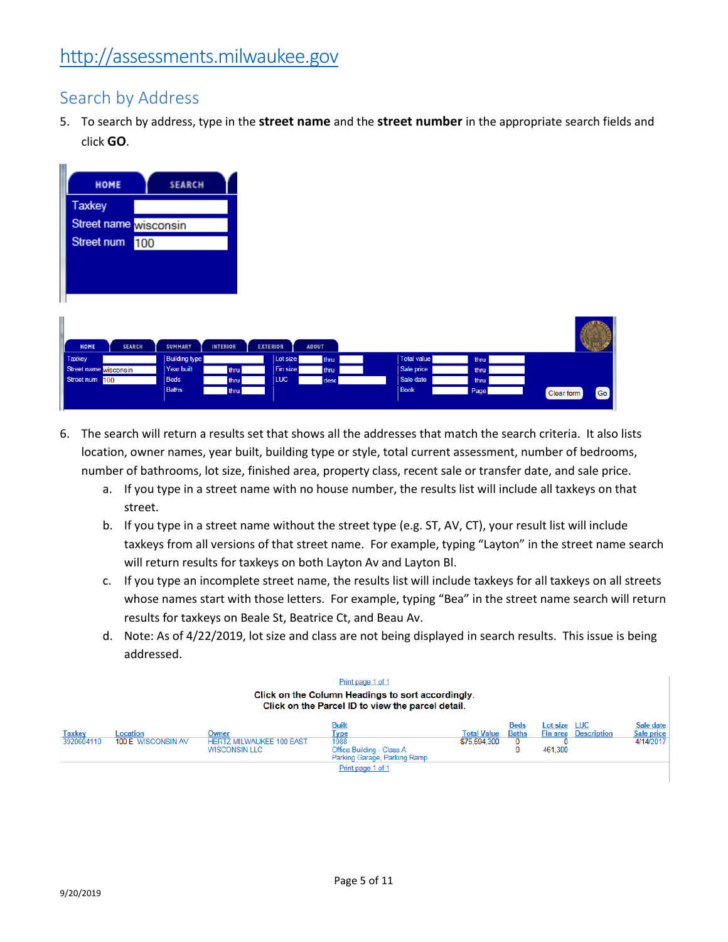### <span id="page-4-0"></span>Search by Address

5. To search by address, type in the **street name** and the **street number** in the appropriate search fields and click **GO**.

| <b>Taxkey</b><br>Street name wisconsin<br>Street num 100<br><b>SEARCH</b><br>SUMMARY<br><b>EXTERIOR</b><br><b>ABOUT</b><br>HOME<br><b>INTERIOR</b><br>Taxkey<br><b>Building type</b><br><b>Total value</b><br>Lot size<br>thru<br>thru<br>Street name wisconsin<br>Year built<br>Fin size<br>Sale price<br>thru<br>thru<br>thru<br>Street num 100<br><b>Beds</b><br>Sale date<br>LUC-<br>desc<br>thru<br>thru<br><b>Baths</b><br><b>Book</b><br>thru<br>Page<br>Go <sup>1</sup><br>Clear form |      |               |  |  |
|-----------------------------------------------------------------------------------------------------------------------------------------------------------------------------------------------------------------------------------------------------------------------------------------------------------------------------------------------------------------------------------------------------------------------------------------------------------------------------------------------|------|---------------|--|--|
|                                                                                                                                                                                                                                                                                                                                                                                                                                                                                               | HOME | <b>SEARCH</b> |  |  |
|                                                                                                                                                                                                                                                                                                                                                                                                                                                                                               |      |               |  |  |
|                                                                                                                                                                                                                                                                                                                                                                                                                                                                                               |      |               |  |  |
|                                                                                                                                                                                                                                                                                                                                                                                                                                                                                               |      |               |  |  |
|                                                                                                                                                                                                                                                                                                                                                                                                                                                                                               |      |               |  |  |
|                                                                                                                                                                                                                                                                                                                                                                                                                                                                                               |      |               |  |  |
|                                                                                                                                                                                                                                                                                                                                                                                                                                                                                               |      |               |  |  |
|                                                                                                                                                                                                                                                                                                                                                                                                                                                                                               |      |               |  |  |
|                                                                                                                                                                                                                                                                                                                                                                                                                                                                                               |      |               |  |  |
|                                                                                                                                                                                                                                                                                                                                                                                                                                                                                               |      |               |  |  |
|                                                                                                                                                                                                                                                                                                                                                                                                                                                                                               |      |               |  |  |
|                                                                                                                                                                                                                                                                                                                                                                                                                                                                                               |      |               |  |  |
|                                                                                                                                                                                                                                                                                                                                                                                                                                                                                               |      |               |  |  |
|                                                                                                                                                                                                                                                                                                                                                                                                                                                                                               |      |               |  |  |

- 6. The search will return a results set that shows all the addresses that match the search criteria. It also lists location, owner names, year built, building type or style, total current assessment, number of bedrooms, number of bathrooms, lot size, finished area, property class, recent sale or transfer date, and sale price.
	- a. If you type in a street name with no house number, the results list will include all taxkeys on that street.
	- b. If you type in a street name without the street type (e.g. ST, AV, CT), your result list will include taxkeys from all versions of that street name. For example, typing "Layton" in the street name search will return results for taxkeys on both Layton Av and Layton Bl.
	- c. If you type an incomplete street name, the results list will include taxkeys for all taxkeys on all streets whose names start with those letters. For example, typing "Bea" in the street name search will return results for taxkeys on Beale St, Beatrice Ct, and Beau Av.
	- d. Note: As of 4/22/2019, lot size and class are not being displayed in search results. This issue is being addressed.

<span id="page-4-1"></span>

| Print page 1 of 1<br>Click on the Column Headings to sort accordingly.<br>Click on the Parcel ID to view the parcel detail. |                                |                                                                  |                                                                                                  |                                    |                                  |                         |                             |                                      |
|-----------------------------------------------------------------------------------------------------------------------------|--------------------------------|------------------------------------------------------------------|--------------------------------------------------------------------------------------------------|------------------------------------|----------------------------------|-------------------------|-----------------------------|--------------------------------------|
| <b>Taxkey</b><br>3920604110                                                                                                 | Location<br>100 E WISCONSIN AV | Owner<br><b>HERTZ MILWAUKEE 100 EAST</b><br><b>WISCONSIN LLC</b> | <b>Built</b><br><b>Type</b><br>1988<br>Office Building - Class A<br>Parking Garage, Parking Ramp | <b>Total Value</b><br>\$75,594,300 | <b>Beds</b><br><b>Baths</b><br>0 | Lot size LUC<br>461,300 | <b>Fin area Description</b> | Sale date<br>Sale price<br>4/14/2017 |
|                                                                                                                             |                                |                                                                  | Print page 1 of 1                                                                                |                                    |                                  |                         |                             |                                      |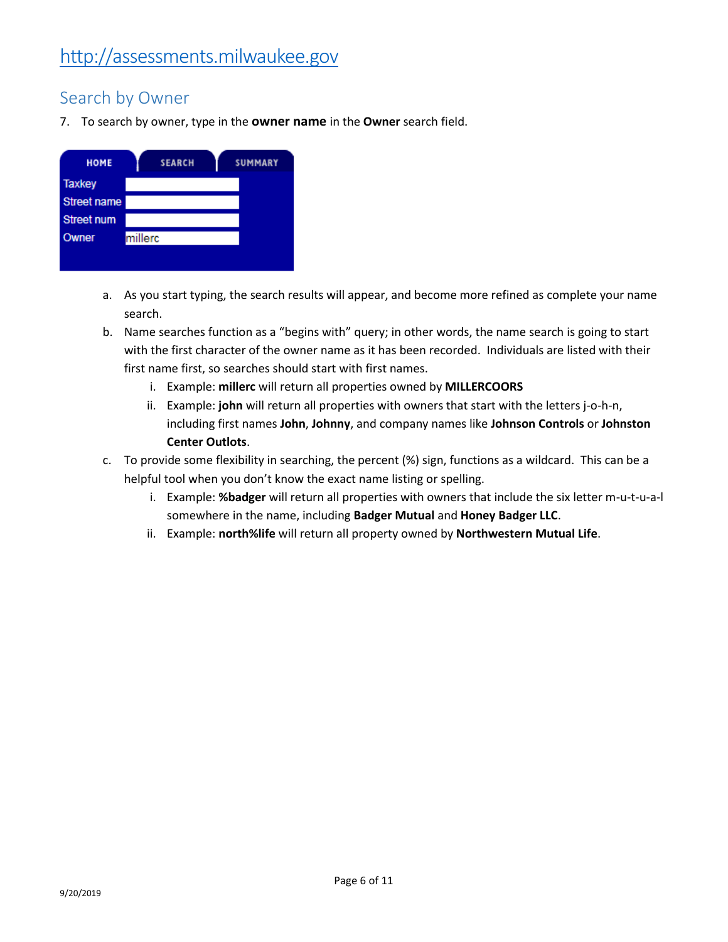### <span id="page-5-0"></span>Search by Owner

7. To search by owner, type in the **owner name** in the **Owner** search field.



- a. As you start typing, the search results will appear, and become more refined as complete your name search.
- b. Name searches function as a "begins with" query; in other words, the name search is going to start with the first character of the owner name as it has been recorded. Individuals are listed with their first name first, so searches should start with first names.
	- i. Example: **millerc** will return all properties owned by **MILLERCOORS**
	- ii. Example: **john** will return all properties with owners that start with the letters j-o-h-n, including first names **John**, **Johnny**, and company names like **Johnson Controls** or **Johnston Center Outlots**.
- c. To provide some flexibility in searching, the percent (%) sign, functions as a wildcard. This can be a helpful tool when you don't know the exact name listing or spelling.
	- i. Example: **%badger** will return all properties with owners that include the six letter m-u-t-u-a-l somewhere in the name, including **Badger Mutual** and **Honey Badger LLC**.
	- ii. Example: **north%life** will return all property owned by **Northwestern Mutual Life**.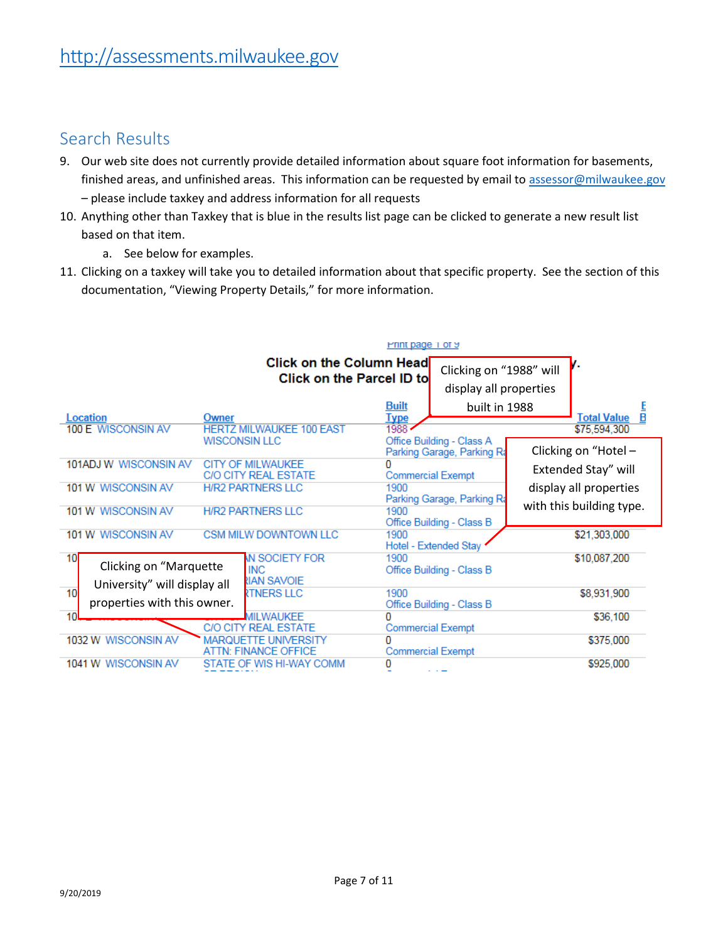### <span id="page-6-0"></span>Search Results

- 9. Our web site does not currently provide detailed information about square foot information for basements, finished areas, and unfinished areas. This information can be requested by email to [assessor@milwaukee.gov](mailto:assessor@milwaukee.gov) – please include taxkey and address information for all requests
- 10. Anything other than Taxkey that is blue in the results list page can be clicked to generate a new result list based on that item.
	- a. See below for examples.
- 11. Clicking on a taxkey will take you to detailed information about that specific property. See the section of this documentation, "Viewing Property Details," for more information.

|                               |       |                                                                      | Print page 1 of 9 |                                                         |                          |
|-------------------------------|-------|----------------------------------------------------------------------|-------------------|---------------------------------------------------------|--------------------------|
|                               |       | <b>Click on the Column Headl</b><br><b>Click on the Parcel ID to</b> |                   | Clicking on "1988" will<br>display all properties       |                          |
|                               |       |                                                                      | <b>Built</b>      | built in 1988                                           | E                        |
| Location                      | Owner |                                                                      | <b>Type</b>       |                                                         | B<br><b>Total Value</b>  |
| 100 E WISCONSIN AV            |       | <b>HERTZ MILWAUKEE 100 EAST</b>                                      | 1988              |                                                         | \$75,594,300             |
|                               |       | <b>WISCONSIN LLC</b>                                                 |                   | Office Building - Class A<br>Parking Garage, Parking Ra | Clicking on "Hotel -     |
| 101ADJ W WISCONSIN AV         |       | <b>CITY OF MILWAUKEE</b><br><b>C/O CITY REAL ESTATE</b>              | o                 | <b>Commercial Exempt</b>                                | Extended Stay" will      |
| 101 W WISCONSIN AV            |       | <b>H/R2 PARTNERS LLC</b>                                             | 1900              |                                                         | display all properties   |
|                               |       |                                                                      |                   | Parking Garage, Parking Ra                              |                          |
| 101 W WISCONSIN AV            |       | <b>H/R2 PARTNERS LLC</b>                                             | 1900              |                                                         | with this building type. |
|                               |       |                                                                      |                   | Office Building - Class B                               |                          |
| 101 W WISCONSIN AV            |       | <b>CSM MILW DOWNTOWN LLC</b>                                         | 1900              | Hotel - Extended Stay                                   | \$21,303,000             |
| 10                            |       | <b>NN SOCIETY FOR</b>                                                | 1900              |                                                         | \$10,087,200             |
| <b>Clicking on "Marquette</b> |       | <b>INC</b>                                                           |                   | Office Building - Class B                               |                          |
| University" will display all  |       | <b>RIAN SAVOIE</b>                                                   |                   |                                                         |                          |
| 10                            |       | <b>RTNERS LLC</b>                                                    | 1900              |                                                         | \$8,931,900              |
| properties with this owner.   |       |                                                                      |                   | Office Building - Class B                               |                          |
| 10                            |       | <b>MII WAUKEE</b>                                                    | n                 |                                                         | \$36,100                 |
|                               |       | <b>C/O CITY REAL ESTATE</b>                                          |                   | <b>Commercial Exempt</b>                                |                          |
| 1032 W WISCONSIN AV           |       | MAROUFTTF UNIVERSITY                                                 |                   |                                                         | \$375,000                |
|                               |       | <b>ATTN: FINANCE OFFICE</b>                                          |                   | <b>Commercial Exempt</b>                                |                          |
| 1041 W WISCONSIN AV           |       | STATE OF WIS HI-WAY COMM                                             | 0                 |                                                         | \$925,000                |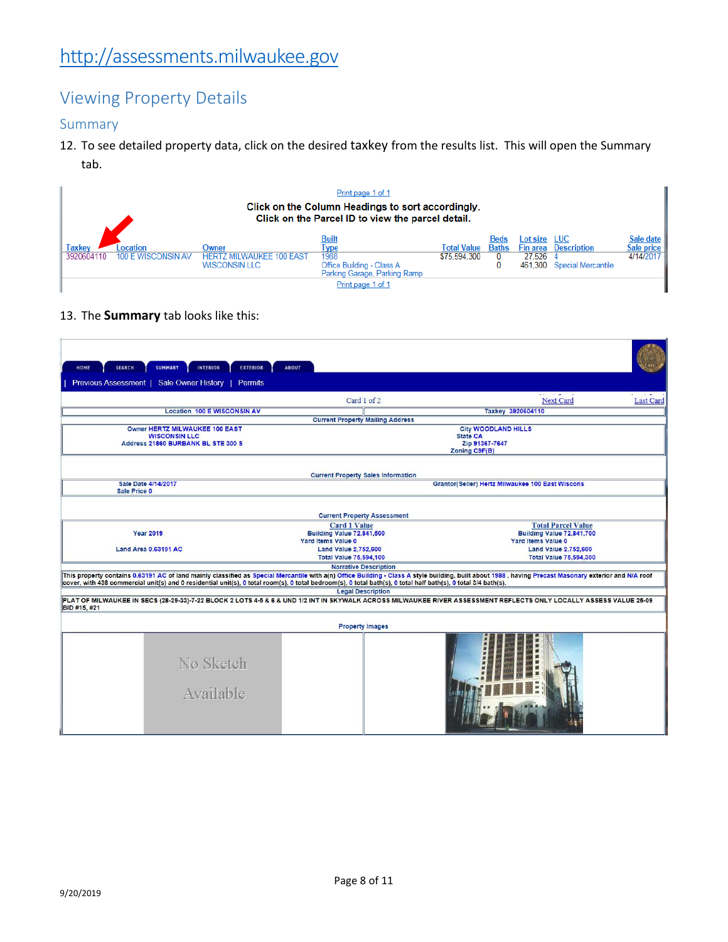### <span id="page-7-0"></span>Viewing Property Details

### <span id="page-7-1"></span>Summary

Ë

12. To see detailed property data, click on the desired taxkey from the results list. This will open the Summary tab.

|                             |                                |                                                                  | Print page 1 of 1<br>Click on the Column Headings to sort accordingly.<br>Click on the Parcel ID to view the parcel detail. |                                    |                             |                                |                                                                |                                      |
|-----------------------------|--------------------------------|------------------------------------------------------------------|-----------------------------------------------------------------------------------------------------------------------------|------------------------------------|-----------------------------|--------------------------------|----------------------------------------------------------------|--------------------------------------|
| <b>Taxkey</b><br>3920604110 | Location<br>100 F WISCONSIN AV | Owner<br><b>HFRT7 MILWAUKEE 100 EAST</b><br><b>WISCONSIN LLC</b> | Built<br><u>iype</u><br>1988<br>Office Building - Class A<br>Parking Garage, Parking Ramp                                   | <b>Total Value</b><br>\$75,594,300 | <b>Beds</b><br><b>Baths</b> | Lot size<br>Fin area<br>27.526 | <b>LUC</b><br><b>Description</b><br>461,300 Special Mercantile | Sale date<br>Sale price<br>4/14/2017 |
|                             |                                |                                                                  | Print page 1 of 1                                                                                                           |                                    |                             |                                |                                                                |                                      |

### 13. The **Summary** tab looks like this:

| <b>SEARCH</b><br><b>INTERIOR</b><br><b>EXTERIOR</b><br>HOME<br><b>SUMMARY</b><br><b>ABOUT</b>                                                                  |                                                                                                                                                                                                       |
|----------------------------------------------------------------------------------------------------------------------------------------------------------------|-------------------------------------------------------------------------------------------------------------------------------------------------------------------------------------------------------|
| Previous Assessment   Sale Owner History<br><b>Permits</b>                                                                                                     |                                                                                                                                                                                                       |
|                                                                                                                                                                | Card 1 of 2<br><b>Next Card</b><br><b>Last Card</b>                                                                                                                                                   |
| <b>Location 100 E WISCONSIN AV</b>                                                                                                                             | Taxkey 3920604110                                                                                                                                                                                     |
|                                                                                                                                                                | <b>Current Property Mailing Address</b>                                                                                                                                                               |
| <b>Owner HERTZ MILWAUKEE 100 EAST</b><br><b>WISCONSIN LLC</b>                                                                                                  | <b>City WOODLAND HILLS</b><br><b>State CA</b>                                                                                                                                                         |
| Address 21860 BURBANK BL STE 300 S                                                                                                                             | Zip 91367-7647                                                                                                                                                                                        |
|                                                                                                                                                                | <b>Zoning C9F(B)</b>                                                                                                                                                                                  |
| <b>Sale Date 4/14/2017</b>                                                                                                                                     | <b>Current Property Sales Information</b><br><b>Grantor(Seller) Hertz Milwaukee 100 East Wiscons</b>                                                                                                  |
| <b>Sale Price 0</b>                                                                                                                                            |                                                                                                                                                                                                       |
|                                                                                                                                                                | <b>Current Property Assessment</b>                                                                                                                                                                    |
| <b>Card 1 Value</b><br>Building Value 72,841,500                                                                                                               | <b>Total Parcel Value</b><br>Building Value 72,841,700                                                                                                                                                |
| <b>Year 2019</b><br><b>Yard Items Value 0</b>                                                                                                                  | <b>Yard Items Value 0</b>                                                                                                                                                                             |
| <b>Land Value 2.752.600</b><br>Land Area 0.63191 AC                                                                                                            | <b>Land Value 2,752,600</b>                                                                                                                                                                           |
| <b>Total Value 75,594,100</b>                                                                                                                                  | <b>Total Value 75,594,300</b>                                                                                                                                                                         |
|                                                                                                                                                                | <b>Narrative Description</b>                                                                                                                                                                          |
| cover, with 438 commercial unit(s) and 0 residential unit(s), 0 total room(s), 0 total bedroom(s), 0 total bath(s), 0 total half bath(s), 0 total 3/4 bath(s). | This property contains 0.63191 AC of land mainly classified as Special Mercantile with a(n) Office Building - Class A style building, built about 1988, having Precast Masonary exterior and N/A roof |
|                                                                                                                                                                | <b>Legal Description</b>                                                                                                                                                                              |
| <b>BID #15, #21</b>                                                                                                                                            | PLAT OF MILWAUKEE IN SECS (28-29-33)-7-22 BLOCK 2 LOTS 4-5 & 6 & UND 1/2 INT IN SKYWALK ACROSS MILWAUKEE RIVER ASSESSMENT REFLECTS ONLY LOCALLY ASSESS VALUE 25-09                                    |
|                                                                                                                                                                |                                                                                                                                                                                                       |
|                                                                                                                                                                | <b>Property Images</b>                                                                                                                                                                                |
| No Sketch<br>Available                                                                                                                                         |                                                                                                                                                                                                       |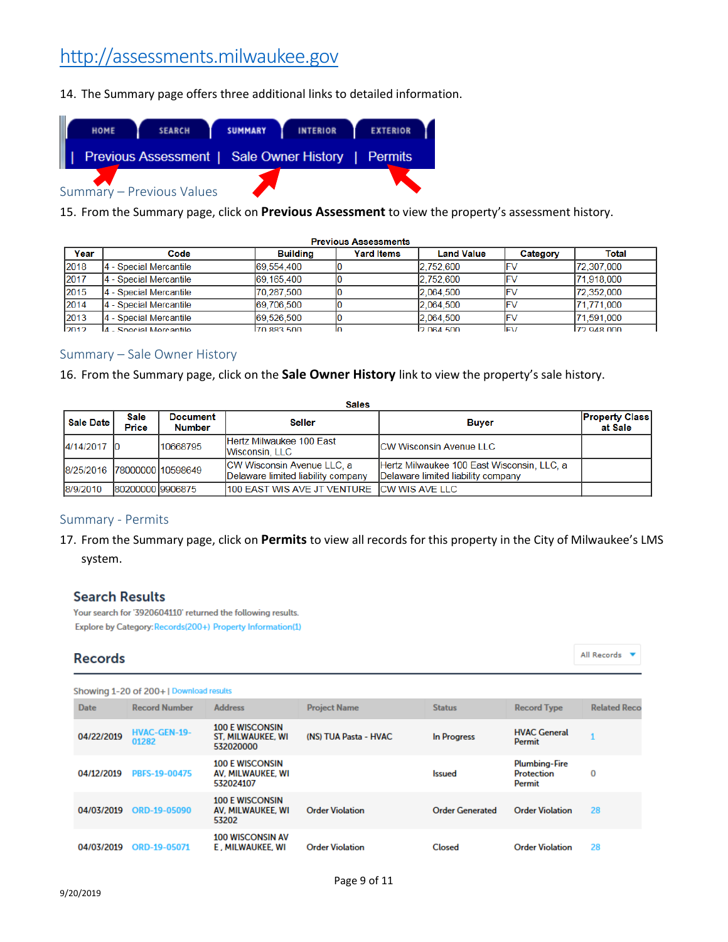14. The Summary page offers three additional links to detailed information.

| HOME | <b>SEARCH</b>                                      | <b>SUMMARY</b> | <b>INTERIOR</b> | <b>EXTERIOR</b> |  |
|------|----------------------------------------------------|----------------|-----------------|-----------------|--|
|      | Previous Assessment   Sale Owner History   Permits |                |                 |                 |  |
|      | Summary - Previous Values                          |                |                 |                 |  |

<span id="page-8-0"></span>15. From the Summary page, click on **Previous Assessment** to view the property's assessment history.

|       | <b>Previous Assessments</b> |                 |                   |                   |            |             |  |  |
|-------|-----------------------------|-----------------|-------------------|-------------------|------------|-------------|--|--|
| Year  | Code                        | <b>Building</b> | <b>Yard Items</b> | <b>Land Value</b> | Category   | Total       |  |  |
| 2018  | 4 - Special Mercantile      | 69.554.400      |                   | 2.752.600         | IF۱        | 72,307,000  |  |  |
| 2017  | 4 - Special Mercantile      | 69.165.400      |                   | 2.752.600         | <b>IFV</b> | 71.918.000  |  |  |
| 2015  | 4 - Special Mercantile      | 70.287.500      |                   | 2.064.500         | <b>IFV</b> | 72.352.000  |  |  |
| 2014  | 4 - Special Mercantile      | 69.706.500      |                   | 2.064.500         | lFV        | 71.771.000  |  |  |
| 2013  | 4 - Special Mercantile      | 69.526.500      |                   | 2.064.500         | lFV        | 71.591.000  |  |  |
| 12012 | l4 - Snecial Mercantile     | 170.883.500     |                   | 12 064 500        | IFV        | 172.948.000 |  |  |

#### <span id="page-8-1"></span>Summary – Sale Owner History

16. From the Summary page, click on the **Sale Owner History** link to view the property's sale history.

|                            | <b>Sales</b>     |                                  |                                                                         |                                                                                  |                                  |  |  |  |
|----------------------------|------------------|----------------------------------|-------------------------------------------------------------------------|----------------------------------------------------------------------------------|----------------------------------|--|--|--|
| <b>Sale Date</b>           | Sale<br>Price    | <b>Document</b><br><b>Number</b> | <b>Seller</b>                                                           | <b>Buver</b>                                                                     | <b>Property Class</b><br>at Sale |  |  |  |
| $4/14/2017$ 0              |                  | 10668795                         | Hertz Milwaukee 100 East<br>Wisconsin, LLC                              | <b>ICW Wisconsin Avenue LLC</b>                                                  |                                  |  |  |  |
| 8/25/2016 7800000010598649 |                  |                                  | <b>CW Wisconsin Avenue LLC, a</b><br>Delaware limited liability company | Hertz Milwaukee 100 East Wisconsin, LLC, a<br>Delaware limited liability company |                                  |  |  |  |
| 8/9/2010                   | 80200000 9906875 |                                  | 1100 EAST WIS AVE JT VENTURE ICW WIS AVE LLC                            |                                                                                  |                                  |  |  |  |

#### <span id="page-8-2"></span>Summary - Permits

17. From the Summary page, click on **Permits** to view all records for this property in the City of Milwaukee's LMS system.

#### **Search Results**

Your search for '3920604110' returned the following results. Explore by Category: Records(200+) Property Information(1)

#### **Records**

All Records ▼

|             | Showing 1-20 of 200+   Download results |                                                          |                        |                        |                                              |                     |  |  |
|-------------|-----------------------------------------|----------------------------------------------------------|------------------------|------------------------|----------------------------------------------|---------------------|--|--|
| <b>Date</b> | <b>Record Number</b>                    | <b>Address</b>                                           | <b>Project Name</b>    | <b>Status</b>          | <b>Record Type</b>                           | <b>Related Reco</b> |  |  |
| 04/22/2019  | <b>HVAC-GEN-19-</b><br>01282            | <b>100 E WISCONSIN</b><br>ST, MILWAUKEE, WI<br>532020000 | (NS) TUA Pasta - HVAC  | <b>In Progress</b>     | <b>HVAC General</b><br><b>Permit</b>         |                     |  |  |
| 04/12/2019  | PBFS-19-00475                           | <b>100 E WISCONSIN</b><br>AV, MILWAUKEE, WI<br>532024107 |                        | <b>Issued</b>          | <b>Plumbing-Fire</b><br>Protection<br>Permit | 0                   |  |  |
| 04/03/2019  | ORD-19-05090                            | <b>100 E WISCONSIN</b><br>AV. MILWAUKEE, WI<br>53202     | <b>Order Violation</b> | <b>Order Generated</b> | <b>Order Violation</b>                       | 28                  |  |  |
| 04/03/2019  | ORD-19-05071                            | <b>100 WISCONSIN AV</b><br>E. MILWAUKEE, WI              | <b>Order Violation</b> | Closed                 | <b>Order Violation</b>                       | 28                  |  |  |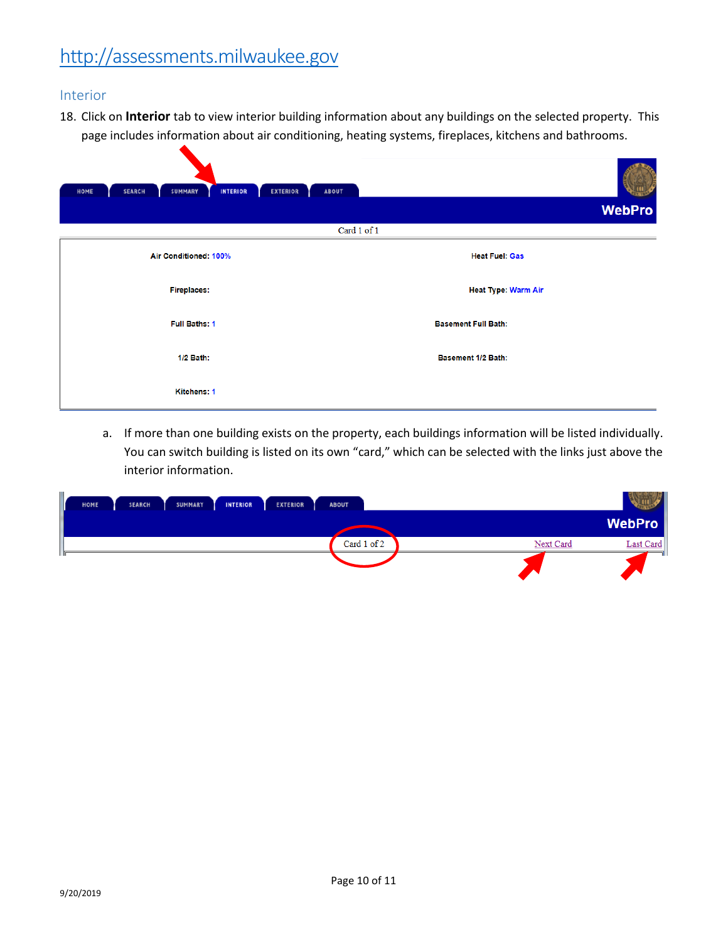#### <span id="page-9-0"></span>Interior

18. Click on **Interior** tab to view interior building information about any buildings on the selected property. This page includes information about air conditioning, heating systems, fireplaces, kitchens and bathrooms.

| SUMMARY<br><b>INTERIOR</b><br><b>SEARCH</b><br>HOME | <b>EXTERIOR</b><br><b>ABOUT</b> |                       |
|-----------------------------------------------------|---------------------------------|-----------------------|
|                                                     |                                 | <b>WebPro</b>         |
|                                                     | Card 1 of 1                     |                       |
| Air Conditioned: 100%                               |                                 | <b>Heat Fuel: Gas</b> |
| <b>Fireplaces:</b>                                  | <b>Heat Type: Warm Air</b>      |                       |
| <b>Full Baths: 1</b>                                | <b>Basement Full Bath:</b>      |                       |
| <b>1/2 Bath:</b>                                    | <b>Basement 1/2 Bath:</b>       |                       |
| <b>Kitchens: 1</b>                                  |                                 |                       |

a. If more than one building exists on the property, each buildings information will be listed individually. You can switch building is listed on its own "card," which can be selected with the links just above the interior information.

| <b>INTERIOR</b><br><b>SUMMARY</b><br><b>EXTERIOR</b><br>HOME<br><b>SEARCH</b> | <b>ABOUT</b> |                        |
|-------------------------------------------------------------------------------|--------------|------------------------|
|                                                                               |              | <b>WebPro</b>          |
|                                                                               | Card 1 of 2  | Next Card<br>Last Card |
|                                                                               |              |                        |